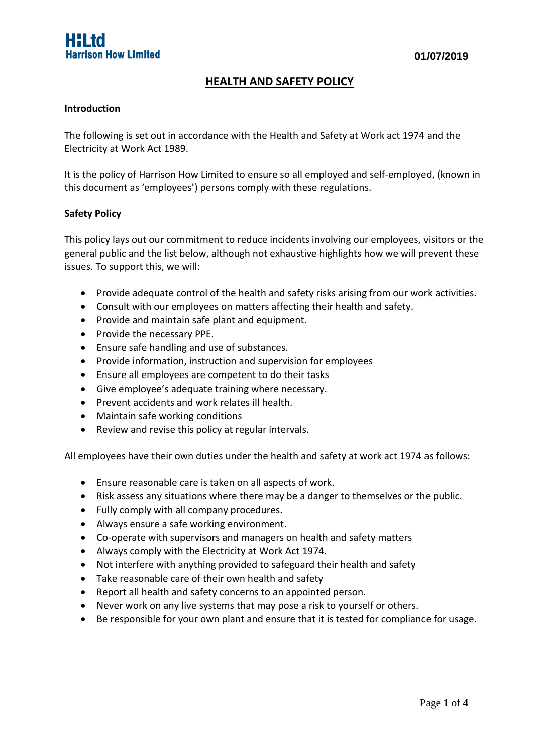# **HEALTH AND SAFETY POLICY**

#### **Introduction**

The following is set out in accordance with the Health and Safety at Work act 1974 and the Electricity at Work Act 1989.

It is the policy of Harrison How Limited to ensure so all employed and self-employed, (known in this document as 'employees') persons comply with these regulations.

#### **Safety Policy**

This policy lays out our commitment to reduce incidents involving our employees, visitors or the general public and the list below, although not exhaustive highlights how we will prevent these issues. To support this, we will:

- Provide adequate control of the health and safety risks arising from our work activities.
- Consult with our employees on matters affecting their health and safety.
- Provide and maintain safe plant and equipment.
- Provide the necessary PPE.
- Ensure safe handling and use of substances.
- Provide information, instruction and supervision for employees
- Ensure all employees are competent to do their tasks
- Give employee's adequate training where necessary.
- Prevent accidents and work relates ill health.
- Maintain safe working conditions
- Review and revise this policy at regular intervals.

All employees have their own duties under the health and safety at work act 1974 as follows:

- Ensure reasonable care is taken on all aspects of work.
- Risk assess any situations where there may be a danger to themselves or the public.
- Fully comply with all company procedures.
- Always ensure a safe working environment.
- Co-operate with supervisors and managers on health and safety matters
- Always comply with the Electricity at Work Act 1974.
- Not interfere with anything provided to safeguard their health and safety
- Take reasonable care of their own health and safety
- Report all health and safety concerns to an appointed person.
- Never work on any live systems that may pose a risk to yourself or others.
- Be responsible for your own plant and ensure that it is tested for compliance for usage.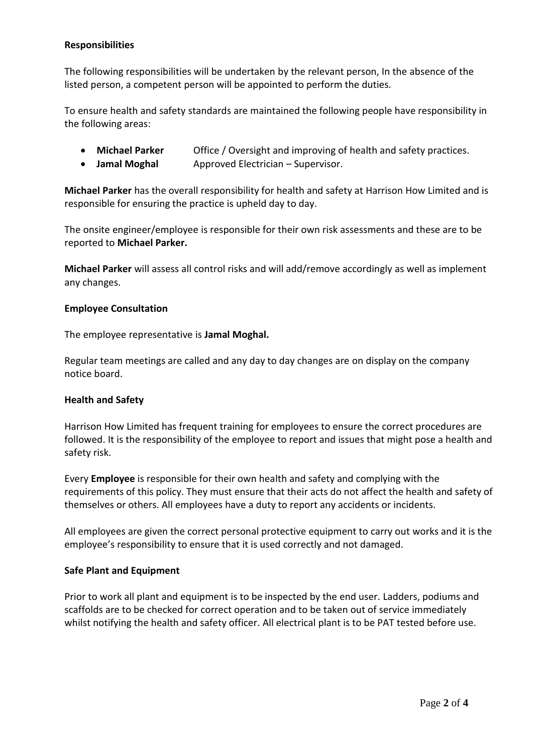# **Responsibilities**

The following responsibilities will be undertaken by the relevant person, In the absence of the listed person, a competent person will be appointed to perform the duties.

To ensure health and safety standards are maintained the following people have responsibility in the following areas:

- **Michael Parker** Office / Oversight and improving of health and safety practices.
- **Jamal Moghal** Approved Electrician Supervisor.

**Michael Parker** has the overall responsibility for health and safety at Harrison How Limited and is responsible for ensuring the practice is upheld day to day.

The onsite engineer/employee is responsible for their own risk assessments and these are to be reported to **Michael Parker.**

**Michael Parker** will assess all control risks and will add/remove accordingly as well as implement any changes.

## **Employee Consultation**

The employee representative is **Jamal Moghal.**

Regular team meetings are called and any day to day changes are on display on the company notice board.

## **Health and Safety**

Harrison How Limited has frequent training for employees to ensure the correct procedures are followed. It is the responsibility of the employee to report and issues that might pose a health and safety risk.

Every **Employee** is responsible for their own health and safety and complying with the requirements of this policy. They must ensure that their acts do not affect the health and safety of themselves or others. All employees have a duty to report any accidents or incidents.

All employees are given the correct personal protective equipment to carry out works and it is the employee's responsibility to ensure that it is used correctly and not damaged.

#### **Safe Plant and Equipment**

Prior to work all plant and equipment is to be inspected by the end user. Ladders, podiums and scaffolds are to be checked for correct operation and to be taken out of service immediately whilst notifying the health and safety officer. All electrical plant is to be PAT tested before use.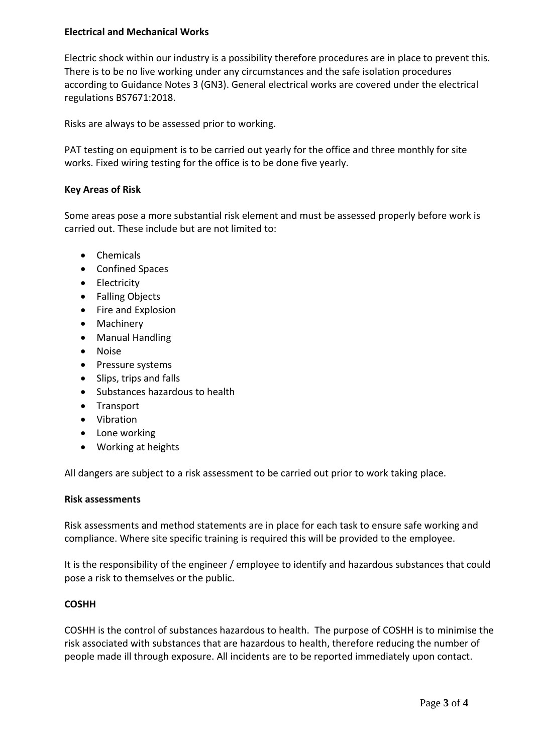# **Electrical and Mechanical Works**

Electric shock within our industry is a possibility therefore procedures are in place to prevent this. There is to be no live working under any circumstances and the safe isolation procedures according to Guidance Notes 3 (GN3). General electrical works are covered under the electrical regulations BS7671:2018.

Risks are always to be assessed prior to working.

PAT testing on equipment is to be carried out yearly for the office and three monthly for site works. Fixed wiring testing for the office is to be done five yearly.

## **Key Areas of Risk**

Some areas pose a more substantial risk element and must be assessed properly before work is carried out. These include but are not limited to:

- Chemicals
- Confined Spaces
- Electricity
- Falling Objects
- Fire and Explosion
- Machinery
- Manual Handling
- Noise
- Pressure systems
- Slips, trips and falls
- Substances hazardous to health
- Transport
- Vibration
- Lone working
- Working at heights

All dangers are subject to a risk assessment to be carried out prior to work taking place.

#### **Risk assessments**

Risk assessments and method statements are in place for each task to ensure safe working and compliance. Where site specific training is required this will be provided to the employee.

It is the responsibility of the engineer / employee to identify and hazardous substances that could pose a risk to themselves or the public.

## **COSHH**

COSHH is the control of substances hazardous to health. The purpose of COSHH is to minimise the risk associated with substances that are hazardous to health, therefore reducing the number of people made ill through exposure. All incidents are to be reported immediately upon contact.